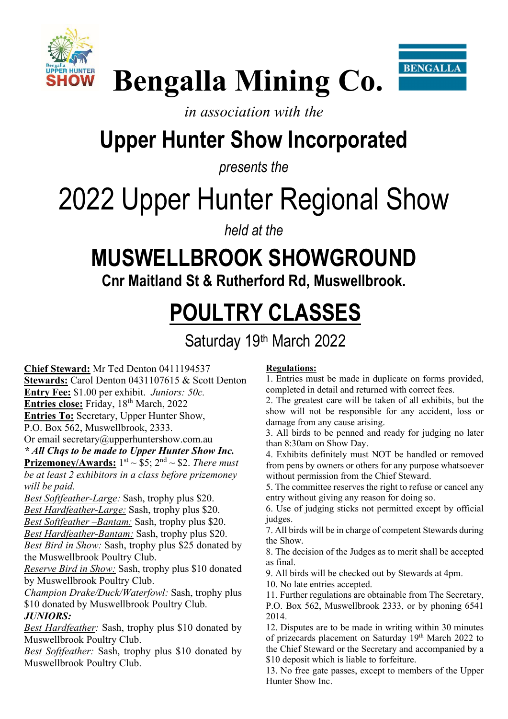



## Bengalla Mining Co.

### in association with the

### Upper Hunter Show Incorporated

presents the

# 2022 Upper Hunter Regional Show

held at the

### MUSWELLBROOK SHOWGROUND

Cnr Maitland St & Rutherford Rd, Muswellbrook.

### POULTRY CLASSES

Saturday 19th March 2022

Chief Steward: Mr Ted Denton 0411194537 Stewards: Carol Denton 0431107615 & Scott Denton Entry Fee: \$1.00 per exhibit. Juniors: 50c. Entries close: Friday, 18<sup>th</sup> March, 2022 Entries To: Secretary, Upper Hunter Show, P.O. Box 562, Muswellbrook, 2333. Or email secretary@upperhuntershow.com.au \* All Chqs to be made to Upper Hunter Show Inc. **Prizemoney/Awards:**  $1^{st} \sim $5$ ;  $2^{nd} \sim $2$ . There must be at least 2 exhibitors in a class before prizemoney will be paid.

Best Softfeather-Large: Sash, trophy plus \$20. Best Hardfeather-Large: Sash, trophy plus \$20.

Best Softfeather - Bantam: Sash, trophy plus \$20.

Best Hardfeather-Bantam: Sash, trophy plus \$20.

Best Bird in Show: Sash, trophy plus \$25 donated by the Muswellbrook Poultry Club.

Reserve Bird in Show: Sash, trophy plus \$10 donated by Muswellbrook Poultry Club.

Champion Drake/Duck/Waterfowl: Sash, trophy plus \$10 donated by Muswellbrook Poultry Club. JUNIORS:

Best Hardfeather: Sash, trophy plus \$10 donated by Muswellbrook Poultry Club.

Best Softfeather: Sash, trophy plus \$10 donated by Muswellbrook Poultry Club.

#### Regulations:

1. Entries must be made in duplicate on forms provided, completed in detail and returned with correct fees.

2. The greatest care will be taken of all exhibits, but the show will not be responsible for any accident, loss or damage from any cause arising.

3. All birds to be penned and ready for judging no later than 8:30am on Show Day.

4. Exhibits definitely must NOT be handled or removed from pens by owners or others for any purpose whatsoever without permission from the Chief Steward.

5. The committee reserves the right to refuse or cancel any entry without giving any reason for doing so.

6. Use of judging sticks not permitted except by official judges.

7. All birds will be in charge of competent Stewards during the Show.

8. The decision of the Judges as to merit shall be accepted as final.

9. All birds will be checked out by Stewards at 4pm.

10. No late entries accepted.

11. Further regulations are obtainable from The Secretary, P.O. Box 562, Muswellbrook 2333, or by phoning 6541 2014.

12. Disputes are to be made in writing within 30 minutes of prizecards placement on Saturday 19<sup>th</sup> March 2022 to the Chief Steward or the Secretary and accompanied by a \$10 deposit which is liable to forfeiture.

13. No free gate passes, except to members of the Upper Hunter Show Inc.